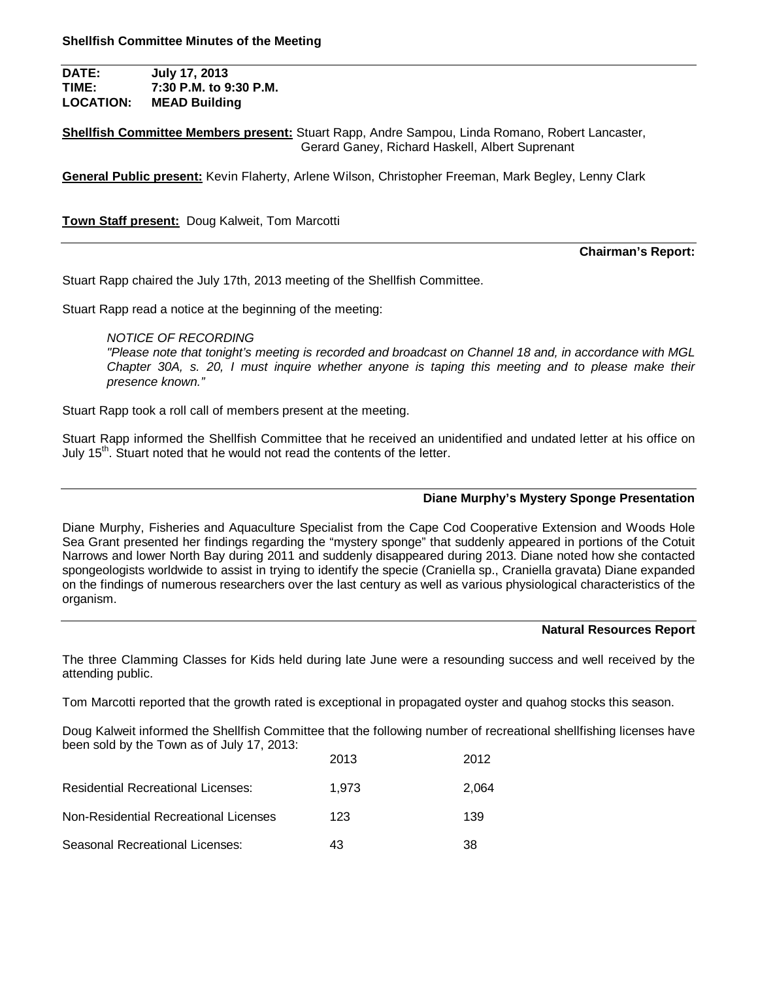**DATE: July 17, 2013 TIME: 7:30 P.M. to 9:30 P.M. LOCATION: MEAD Building**

**Shellfish Committee Members present:** Stuart Rapp, Andre Sampou, Linda Romano, Robert Lancaster, Gerard Ganey, Richard Haskell, Albert Suprenant

**General Public present:** Kevin Flaherty, Arlene Wilson, Christopher Freeman, Mark Begley, Lenny Clark

**Town Staff present:** Doug Kalweit, Tom Marcotti

**Chairman's Report:**

Stuart Rapp chaired the July 17th, 2013 meeting of the Shellfish Committee.

Stuart Rapp read a notice at the beginning of the meeting:

*NOTICE OF RECORDING*

*"Please note that tonight's meeting is recorded and broadcast on Channel 18 and, in accordance with MGL Chapter 30A, s. 20, I must inquire whether anyone is taping this meeting and to please make their presence known."*

Stuart Rapp took a roll call of members present at the meeting.

Stuart Rapp informed the Shellfish Committee that he received an unidentified and undated letter at his office on July  $15<sup>th</sup>$ . Stuart noted that he would not read the contents of the letter.

# **Diane Murphy's Mystery Sponge Presentation**

Diane Murphy, Fisheries and Aquaculture Specialist from the Cape Cod Cooperative Extension and Woods Hole Sea Grant presented her findings regarding the "mystery sponge" that suddenly appeared in portions of the Cotuit Narrows and lower North Bay during 2011 and suddenly disappeared during 2013. Diane noted how she contacted spongeologists worldwide to assist in trying to identify the specie (Craniella sp., Craniella gravata) Diane expanded on the findings of numerous researchers over the last century as well as various physiological characteristics of the organism.

# **Natural Resources Report**

The three Clamming Classes for Kids held during late June were a resounding success and well received by the attending public.

Tom Marcotti reported that the growth rated is exceptional in propagated oyster and quahog stocks this season.

Doug Kalweit informed the Shellfish Committee that the following number of recreational shellfishing licenses have been sold by the Town as of July 17, 2013:

|                                       | 2013  | 2012  |
|---------------------------------------|-------|-------|
| Residential Recreational Licenses:    | 1.973 | 2.064 |
| Non-Residential Recreational Licenses | 123   | 139   |
| Seasonal Recreational Licenses:       | 43    | 38    |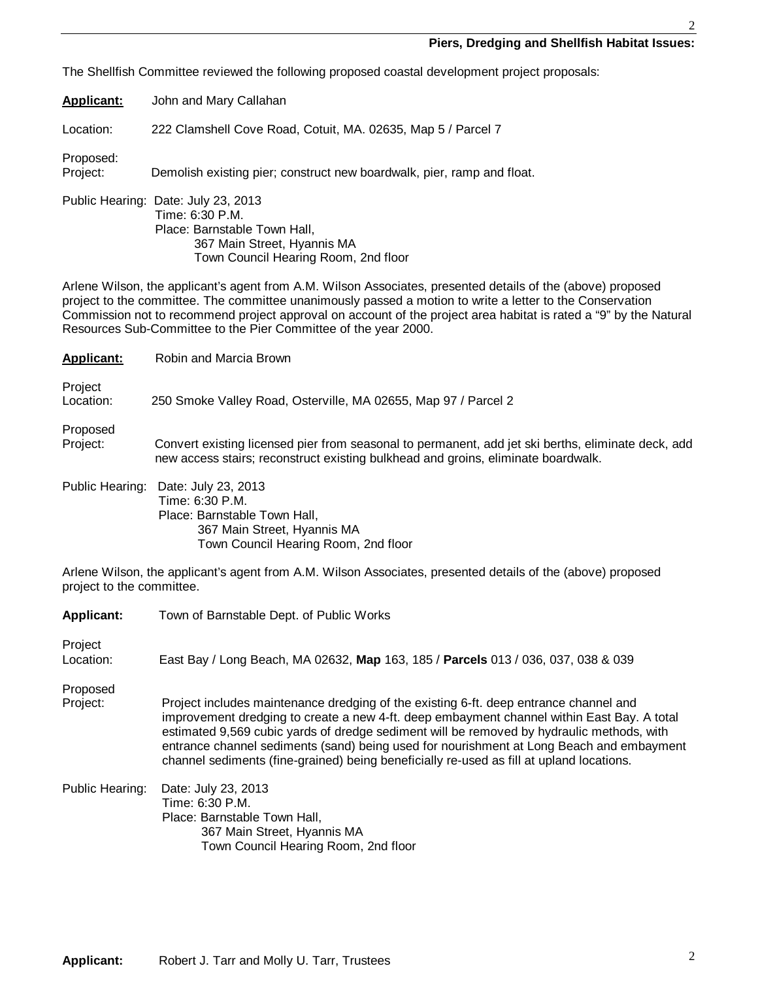### **Piers, Dredging and Shellfish Habitat Issues:**

The Shellfish Committee reviewed the following proposed coastal development project proposals:

**Applicant:** John and Mary Callahan

Location: 222 Clamshell Cove Road, Cotuit, MA. 02635, Map 5 / Parcel 7

Proposed:

Project: Demolish existing pier; construct new boardwalk, pier, ramp and float.

Public Hearing: Date: July 23, 2013 Time: 6:30 P.M. Place: Barnstable Town Hall, 367 Main Street, Hyannis MA Town Council Hearing Room, 2nd floor

Arlene Wilson, the applicant's agent from A.M. Wilson Associates, presented details of the (above) proposed project to the committee. The committee unanimously passed a motion to write a letter to the Conservation Commission not to recommend project approval on account of the project area habitat is rated a "9" by the Natural Resources Sub-Committee to the Pier Committee of the year 2000.

| <b>Applicant:</b>    | Robin and Marcia Brown                                                                                   |
|----------------------|----------------------------------------------------------------------------------------------------------|
| Project<br>Location: | 250 Smoke Valley Road, Osterville, MA 02655, Map 97 / Parcel 2                                           |
| Proposed<br>Project: | Convert existing licensed pier from seasonal to permanent, add jet ski berths, eliminate deck, add       |
| Public Hearing:      | new access stairs; reconstruct existing bulkhead and groins, eliminate boardwalk.<br>Date: July 23, 2013 |
|                      | Time: 6:30 P.M.<br>Dissa: Damatakia Tauna i lali                                                         |

 Place: Barnstable Town Hall, 367 Main Street, Hyannis MA Town Council Hearing Room, 2nd floor

Arlene Wilson, the applicant's agent from A.M. Wilson Associates, presented details of the (above) proposed project to the committee.

| <b>Applicant:</b> | Town of Barnstable Dept. of Public Works                                                                                                                                                                                                                                                                                                                                                                                                                                 |
|-------------------|--------------------------------------------------------------------------------------------------------------------------------------------------------------------------------------------------------------------------------------------------------------------------------------------------------------------------------------------------------------------------------------------------------------------------------------------------------------------------|
| Project           |                                                                                                                                                                                                                                                                                                                                                                                                                                                                          |
| Location:         | East Bay / Long Beach, MA 02632, Map 163, 185 / Parcels 013 / 036, 037, 038 & 039                                                                                                                                                                                                                                                                                                                                                                                        |
| Proposed          |                                                                                                                                                                                                                                                                                                                                                                                                                                                                          |
| Project:          | Project includes maintenance dredging of the existing 6-ft. deep entrance channel and<br>improvement dredging to create a new 4-ft. deep embayment channel within East Bay. A total<br>estimated 9,569 cubic yards of dredge sediment will be removed by hydraulic methods, with<br>entrance channel sediments (sand) being used for nourishment at Long Beach and embayment<br>channel sediments (fine-grained) being beneficially re-used as fill at upland locations. |
| Public Hearing:   | Date: July 23, 2013<br>Time: 6:30 P.M.<br>Place: Barnstable Town Hall,<br>367 Main Street, Hyannis MA<br>Town Council Hearing Room, 2nd floor                                                                                                                                                                                                                                                                                                                            |